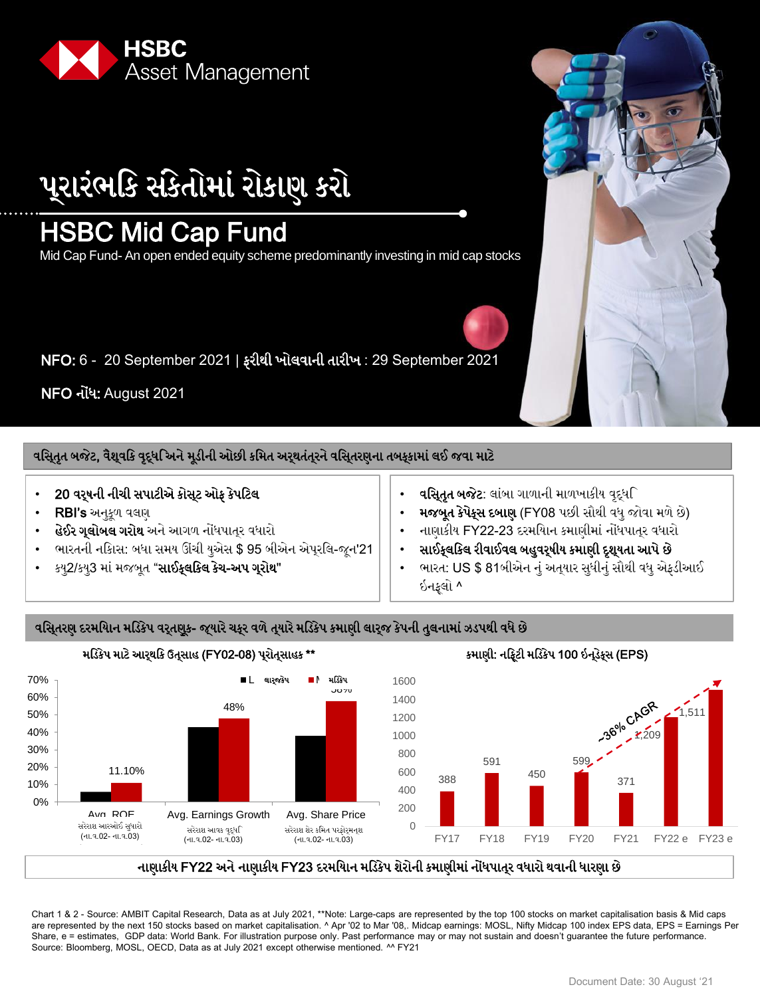

્યાયંબિક વંકેતોભાં યોકાણ કયો

## HSBC Mid Cap Fund

Mid Cap Fund- An open ended equity scheme predominantly investing in mid cap stocks

NFO: 6 - 20 September 2021 | પયીથી ખોરલાની તાયીખ : 29 September 2021

NFO નોંધ: August 2021

વસિ્તૃત બજેટ, વૈશ્વકિ વૃદ્ધગ્નિને મૂડીની ઓછી કમિત અર્થતંત્ર્રને વસિ્તરણના તબફ્કામાં લઈ જવા માટે

- 20 વર્ષની નીચી સપાટીએ કોસ્ટ ઓફ કેપટિલ
- RBI's અનુકૂળ વલણ
- **હેઈર ગૃલોબલ ગરોથ** અને આગળ નોંધપાત્૨ વધારો
- ભારતની નકાિસ: બધા સમય ઊંચી યએસ \$ 95 બીએન એપરલિ-જન'21
- કય2/કય3 માં મજબુત "**સાઈક્લક્લિ કેચ-અપ ગુરોથ**"
- **વસિતત બજેટ**: લાંબા ગાળાની માળખાકીય વદધ**િ**
- મજબુત કેપેક્સ દબાણ (FY08 પછી સૌથી વધુ જોવા મળે છે)
- નાણાકીમ FY22-23 દયભિમાન કભાણીભાં નોંધાત્ય લધાયો
- સાઈકલકિલ રીવાઈવલ બહુવરૂષીય કમાણી દશુયતા આપે છે
- ભારત: US \$ 81બીએન નું અતુયાર સુધીનું સૌથી વધુ એફડીઆઈ ઇનફલો ^

કમાણી: નફ્ટિી મડિકેપ 100 ઇન્ડેક્સ (EPS)

### વસિૃતરણ દરમયાિન મડિકેપ વરૃતણુક- જ્યારે ચક્રુ વળે તૃયારે મડિકેપ કમાણી લારૃજ કેપની તુલનામાં ઝડપથી વધે છે



મડિકેપ માટે આરથકિ ઉત્**સાહ (FY02-08) પ્**રોતૃસાહક \*\*

નાણાકીય FY22 અને નાણાકીય FY23 દરમયાિન મડિકેપ શેરોની કમાણીમાં નોંધપાત્**ર વધારો થવાની ધારણા** છે

Chart 1 & 2 - Source: AMBIT Capital Research, Data as at July 2021, \*\*Note: Large-caps are represented by the top 100 stocks on market capitalisation basis & Mid caps are represented by the next 150 stocks based on market capitalisation. ^ Apr '02 to Mar '08,. Midcap earnings: MOSL, Nifty Midcap 100 index EPS data, EPS = Earnings Per Share, e = estimates, GDP data: World Bank. For illustration purpose only. Past performance may or may not sustain and doesn't guarantee the future performance. Source: Bloomberg, MOSL, OECD, Data as at July 2021 except otherwise mentioned. ^^ FY21

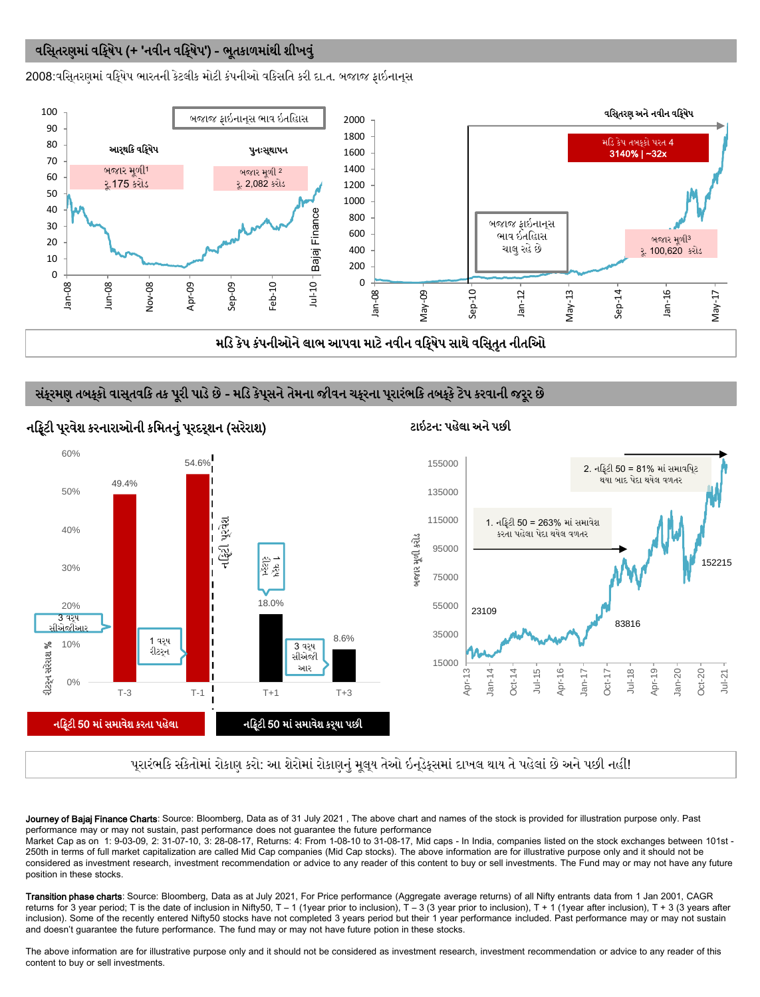### વસિતરણમાં વર્કિ્ષેપ (+ 'નવીન વર્કિ્ષેપ') - ભુતકાળમાંથી શીખવું

2008:વસિ્તરણમાં વર્ક્ષિપ ભારતની કેટલીક મોટી કંપનીઓ વકિસતિ કરી દા.ત. બજાજ ફાઇનાન્સ



### સંકુરમણ તબકુકો વાસુતવકિ તક પૂરી પાડે છે - મડિ કેપુસને તેમના જીવન ચકુરના પુરારંભકિ તબકુકે ટેપ કરવાની જરૂર છે



પ્રારંભકિ સંકેતોમાં રોકાણ કરો: આ શેરોમાં રોકાણનું મૂલ્**ય તેઓ ઇન્**ડેક્સમાં દાખલ થાય તે પહેલાં છે અને પછી નહીં!

Journey of Bajaj Finance Charts: Source: Bloomberg, Data as of 31 July 2021, The above chart and names of the stock is provided for illustration purpose only. Past performance may or may not sustain, past performance does not guarantee the future performance

Market Cap as on 1: 9-03-09, 2: 31-07-10, 3: 28-08-17, Returns: 4: From 1-08-10 to 31-08-17, Mid caps - In India, companies listed on the stock exchanges between 101st - 250th in terms of full market capitalization are called Mid Cap companies (Mid Cap stocks). The above information are for illustrative purpose only and it should not be considered as investment research, investment recommendation or advice to any reader of this content to buy or sell investments. The Fund may or may not have any future position in these stocks.

Transition phase charts: Source: Bloomberg, Data as at July 2021, For Price performance (Aggregate average returns) of all Nifty entrants data from 1 Jan 2001, CAGR returns for 3 year period; T is the date of inclusion in Nifty50, T - 1 (1year prior to inclusion), T - 3 (3 year prior to inclusion), T + 1 (1year after inclusion), T + 3 (3 years after inclusion). Some of the recently entered Nifty50 stocks have not completed 3 years period but their 1 year performance included. Past performance may or may not sustain and doesn't guarantee the future performance. The fund may or may not have future potion in these stocks.

The above information are for illustrative purpose only and it should not be considered as investment research, investment recommendation or advice to any reader of this content to buy or sell investments.

### નફ્ટિી પૂરવેશ કરનારાઓની કમિતનું પૂરદરૃશન (સરેરાશ) ટાઈટન: પહેલા અને પછી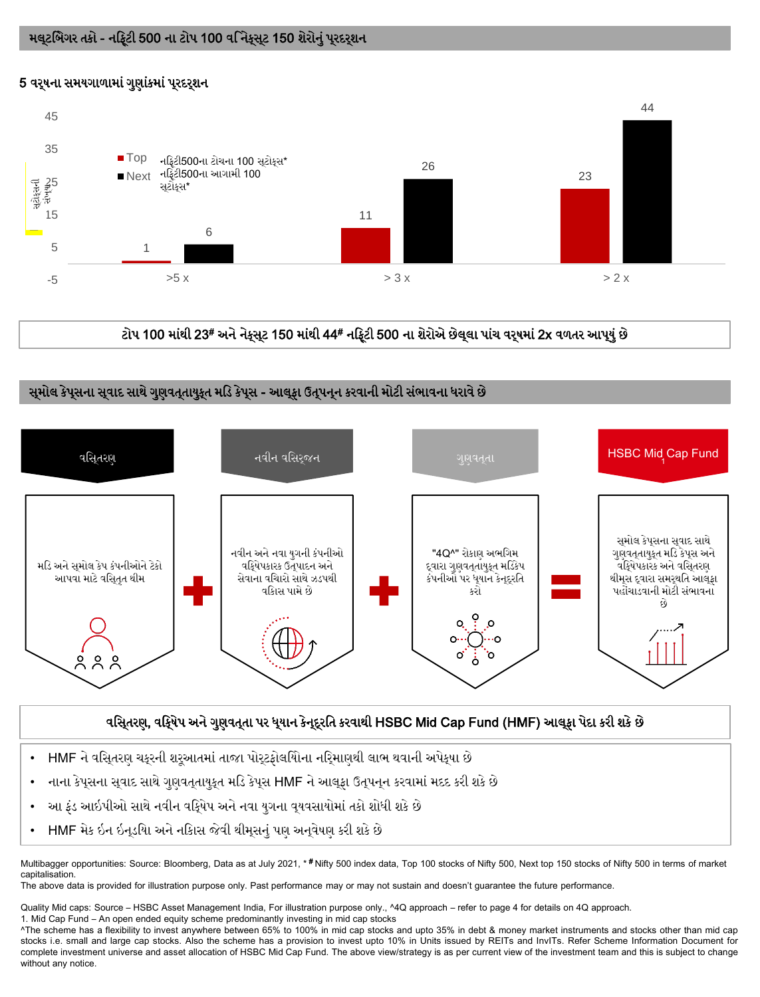### 5 વરૂષના સમયગાળામાં ગુણાંકમાં પુરદરૃશન



# ટોપ 100 માંથી 23# અને નેક્સુટ 150 માંથી 44# નફ્ટિી 500 ના શેરોએ છેલુલા પાંચ વરૃષમાં 2x વળતર આપ્**યું** છે

### સુમોલ કેપૂસના સ્**વાદ સાથે ગુણવત્**તાયુક્ત મડિ કેપૂસ - આલ્<sub>રી</sub> ઉત્**પન્**ન કરવાની મોટી સંભાવના ધરાવે છે



### વસિ્તરણ, વર્દ્દિષેપ અને ગુણવત્તા પર ધ્યાન કેન્દ્રતિ કરવાથી HSBC Mid Cap Fund (HMF) આલ્ફા પેદા કરી શકે છે

- HMF ને વસિતરણ ચકરની શરઆતમાં તાજા પોરટકોલયોિના નરિમાણથી લાભ થવાની અપેકષા છે
- નાના કેપ્સના સ્વાદ સાથે ગુણવત્**તાયુક્ત મડિ કેપ્**સ HMF ને આલ્ફા ઉત્પન્ન કરવામાં મદદ કરી શકે છે
- આ ફંડ આઇપીઓ સાથે નવીન વકિૃષેપ અને નવા યુગના વયવસાયોમાં તકો શોધી શકે છે
- HMF મેક ઇન ઇનડયાિ અને નકાિસ જેવી થીમસનં પણ અનવેષણ કરી શકે છે

Multibagger opportunities: Source: Bloomberg, Data as at July 2021, \* #Nifty 500 index data, Top 100 stocks of Nifty 500, Next top 150 stocks of Nifty 500 in terms of market capitalisation.

The above data is provided for illustration purpose only. Past performance may or may not sustain and doesn't guarantee the future performance.

Quality Mid caps: Source – HSBC Asset Management India, For illustration purpose only., ^4Q approach – refer to page 4 for details on 4Q approach.

1. Mid Cap Fund – An open ended equity scheme predominantly investing in mid cap stocks

^The scheme has a flexibility to invest anywhere between 65% to 100% in mid cap stocks and upto 35% in debt & money market instruments and stocks other than mid cap stocks i.e. small and large cap stocks. Also the scheme has a provision to invest upto 10% in Units issued by REITs and InvITs. Refer Scheme Information Document for complete investment universe and asset allocation of HSBC Mid Cap Fund. The above view/strategy is as per current view of the investment team and this is subject to change without any notice.